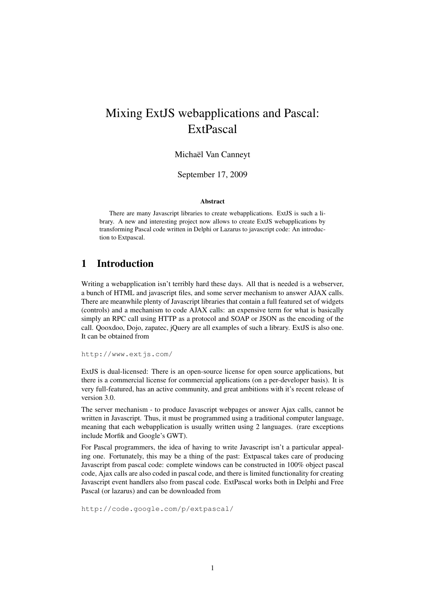# Mixing ExtJS webapplications and Pascal: ExtPascal

#### Michaël Van Canneyt

September 17, 2009

#### Abstract

There are many Javascript libraries to create webapplications. ExtJS is such a library. A new and interesting project now allows to create ExtJS webapplications by transforming Pascal code written in Delphi or Lazarus to javascript code: An introduction to Extpascal.

# 1 Introduction

Writing a webapplication isn't terribly hard these days. All that is needed is a webserver, a bunch of HTML and javascript files, and some server mechanism to answer AJAX calls. There are meanwhile plenty of Javascript libraries that contain a full featured set of widgets (controls) and a mechanism to code AJAX calls: an expensive term for what is basically simply an RPC call using HTTP as a protocol and SOAP or JSON as the encoding of the call. Qooxdoo, Dojo, zapatec, jQuery are all examples of such a library. ExtJS is also one. It can be obtained from

http://www.extjs.com/

ExtJS is dual-licensed: There is an open-source license for open source applications, but there is a commercial license for commercial applications (on a per-developer basis). It is very full-featured, has an active community, and great ambitions with it's recent release of version 3.0.

The server mechanism - to produce Javascript webpages or answer Ajax calls, cannot be written in Javascript. Thus, it must be programmed using a traditional computer language, meaning that each webapplication is usually written using 2 languages. (rare exceptions include Morfik and Google's GWT).

For Pascal programmers, the idea of having to write Javascript isn't a particular appealing one. Fortunately, this may be a thing of the past: Extpascal takes care of producing Javascript from pascal code: complete windows can be constructed in 100% object pascal code, Ajax calls are also coded in pascal code, and there is limited functionality for creating Javascript event handlers also from pascal code. ExtPascal works both in Delphi and Free Pascal (or lazarus) and can be downloaded from

http://code.google.com/p/extpascal/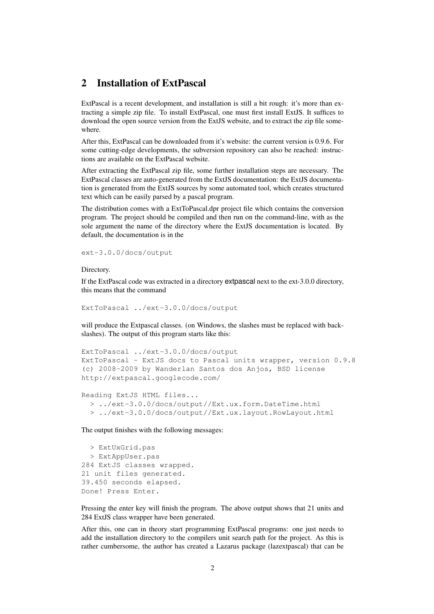### 2 Installation of ExtPascal

ExtPascal is a recent development, and installation is still a bit rough: it's more than extracting a simple zip file. To install ExtPascal, one must first install ExtJS. It suffices to download the open source version from the ExtJS website, and to extract the zip file somewhere.

After this, ExtPascal can be downloaded from it's website: the current version is 0.9.6. For some cutting-edge developments, the subversion repository can also be reached: instructions are available on the ExtPascal website.

After extracting the ExtPascal zip file, some further installation steps are necessary. The ExtPascal classes are auto-generated from the ExtJS documentation: the ExtJS documentation is generated from the ExtJS sources by some automated tool, which creates structured text which can be easily parsed by a pascal program.

The distribution comes with a ExtToPascal.dpr project file which contains the conversion program. The project should be compiled and then run on the command-line, with as the sole argument the name of the directory where the ExtJS documentation is located. By default, the documentation is in the

ext-3.0.0/docs/output

Directory.

If the ExtPascal code was extracted in a directory extpascal next to the ext-3.0.0 directory, this means that the command

ExtToPascal ../ext-3.0.0/docs/output

will produce the Extpascal classes. (on Windows, the slashes must be replaced with backslashes). The output of this program starts like this:

```
ExtToPascal ../ext-3.0.0/docs/output
ExtToPascal - ExtJS docs to Pascal units wrapper, version 0.9.8
(c) 2008-2009 by Wanderlan Santos dos Anjos, BSD license
http://extpascal.googlecode.com/
```

```
Reading ExtJS HTML files...
  > ../ext-3.0.0/docs/output//Ext.ux.form.DateTime.html
  > ../ext-3.0.0/docs/output//Ext.ux.layout.RowLayout.html
```
The output finishes with the following messages:

> ExtUxGrid.pas > ExtAppUser.pas 284 ExtJS classes wrapped. 21 unit files generated. 39.450 seconds elapsed. Done! Press Enter.

Pressing the enter key will finish the program. The above output shows that 21 units and 284 ExtJS class wrapper have been generated.

After this, one can in theory start programming ExtPascal programs: one just needs to add the installation directory to the compilers unit search path for the project. As this is rather cumbersome, the author has created a Lazarus package (lazextpascal) that can be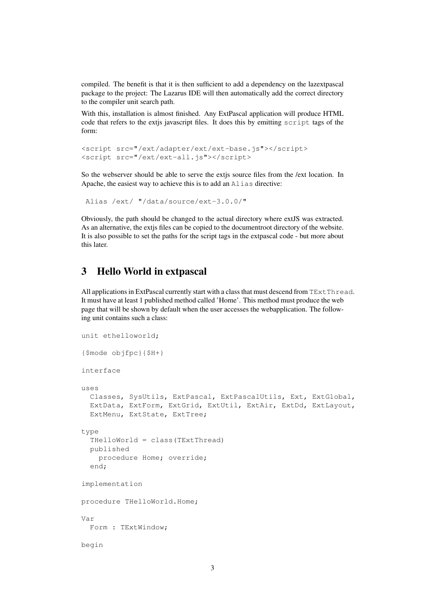compiled. The benefit is that it is then sufficient to add a dependency on the lazextpascal package to the project: The Lazarus IDE will then automatically add the correct directory to the compiler unit search path.

With this, installation is almost finished. Any ExtPascal application will produce HTML code that refers to the extjs javascript files. It does this by emitting script tags of the form:

```
<script src="/ext/adapter/ext/ext-base.js"></script>
<script src="/ext/ext-all.js"></script>
```
So the webserver should be able to serve the extjs source files from the /ext location. In Apache, the easiest way to achieve this is to add an Alias directive:

```
Alias /ext/ "/data/source/ext-3.0.0/"
```
Obviously, the path should be changed to the actual directory where extJS was extracted. As an alternative, the extjs files can be copied to the documentroot directory of the website. It is also possible to set the paths for the script tags in the extpascal code - but more about this later.

# 3 Hello World in extpascal

All applications in ExtPascal currently start with a class that must descend from  $TExtThread$ . It must have at least 1 published method called 'Home'. This method must produce the web page that will be shown by default when the user accesses the webapplication. The following unit contains such a class:

```
unit ethelloworld;
{$mode objfpc}{$H+}
interface
uses
  Classes, SysUtils, ExtPascal, ExtPascalUtils, Ext, ExtGlobal,
  ExtData, ExtForm, ExtGrid, ExtUtil, ExtAir, ExtDd, ExtLayout,
  ExtMenu, ExtState, ExtTree;
type
  THelloWorld = class(TExtThread)
  published
    procedure Home; override;
  end;
implementation
procedure THelloWorld.Home;
Var
  Form : TExtWindow;
begin
```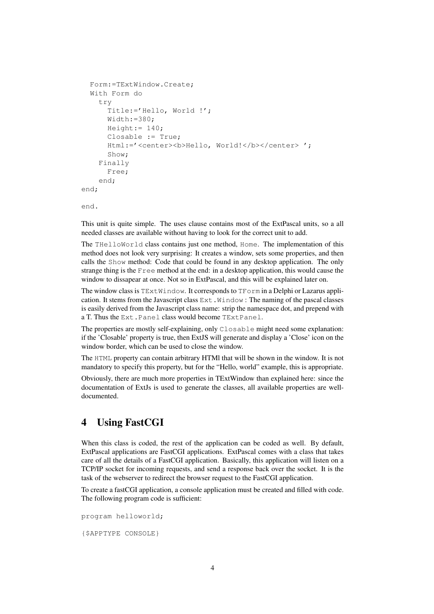```
Form:=TExtWindow.Create;
  With Form do
    try
      Title:='Hello, World !';
      W_1dth:=380:
      Height: = 140;Closable := True;
      Html:='<center><b>Hello, World!</b></center> ';
      Show;
    Finally
      Free;
    end;
end;
```
end.

This unit is quite simple. The uses clause contains most of the ExtPascal units, so a all needed classes are available without having to look for the correct unit to add.

The THelloWorld class contains just one method, Home. The implementation of this method does not look very surprising: It creates a window, sets some properties, and then calls the Show method: Code that could be found in any desktop application. The only strange thing is the Free method at the end: in a desktop application, this would cause the window to dissapear at once. Not so in ExtPascal, and this will be explained later on.

The window class is TExtWindow. It corresponds to TForm in a Delphi or Lazarus application. It stems from the Javascript class Ext.Window : The naming of the pascal classes is easily derived from the Javascript class name: strip the namespace dot, and prepend with a T. Thus the Ext.Panel class would become TExtPanel.

The properties are mostly self-explaining, only Closable might need some explanation: if the 'Closable' property is true, then ExtJS will generate and display a 'Close' icon on the window border, which can be used to close the window.

The HTML property can contain arbitrary HTMl that will be shown in the window. It is not mandatory to specify this property, but for the "Hello, world" example, this is appropriate.

Obviously, there are much more properties in TExtWindow than explained here: since the documentation of ExtJs is used to generate the classes, all available properties are welldocumented.

# 4 Using FastCGI

When this class is coded, the rest of the application can be coded as well. By default, ExtPascal applications are FastCGI applications. ExtPascal comes with a class that takes care of all the details of a FastCGI application. Basically, this application will listen on a TCP/IP socket for incoming requests, and send a response back over the socket. It is the task of the webserver to redirect the browser request to the FastCGI application.

To create a fastCGI application, a console application must be created and filled with code. The following program code is sufficient:

```
program helloworld;
```
{\$APPTYPE CONSOLE}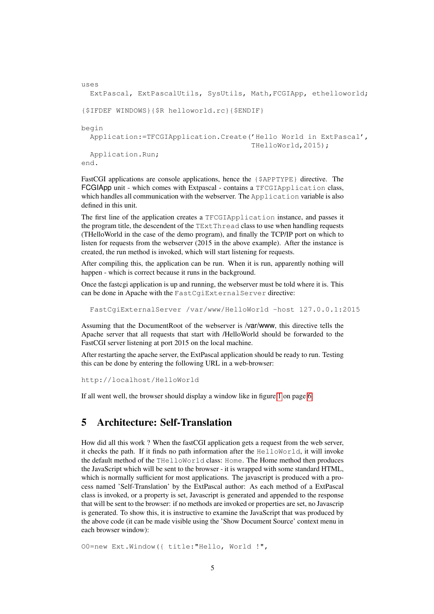```
uses
 ExtPascal, ExtPascalUtils, SysUtils, Math,FCGIApp, ethelloworld;
{$IFDEF WINDOWS}{$R helloworld.rc}{$ENDIF}
begin
  Application:=TFCGIApplication.Create('Hello World in ExtPascal',
                                        THelloWorld,2015);
  Application.Run;
end.
```
FastCGI applications are console applications, hence the {\$APPTYPE} directive. The FCGIApp unit - which comes with Extpascal - contains a TFCGIApplication class, which handles all communication with the webserver. The Application variable is also defined in this unit.

The first line of the application creates a TFCGIApplication instance, and passes it the program title, the descendent of the TExtThread class to use when handling requests (THelloWorld in the case of the demo program), and finally the TCP/IP port on which to listen for requests from the webserver (2015 in the above example). After the instance is created, the run method is invoked, which will start listening for requests.

After compiling this, the application can be run. When it is run, apparently nothing will happen - which is correct because it runs in the background.

Once the fastcgi application is up and running, the webserver must be told where it is. This can be done in Apache with the FastCgiExternalServer directive:

FastCgiExternalServer /var/www/HelloWorld -host 127.0.0.1:2015

Assuming that the DocumentRoot of the webserver is /var/www, this directive tells the Apache server that all requests that start with /HelloWorld should be forwarded to the FastCGI server listening at port 2015 on the local machine.

After restarting the apache server, the ExtPascal application should be ready to run. Testing this can be done by entering the following URL in a web-browser:

http://localhost/HelloWorld

If all went well, the browser should display a window like in figure [1](#page-5-0) on page [6.](#page-5-0)

# 5 Architecture: Self-Translation

How did all this work ? When the fastCGI application gets a request from the web server, it checks the path. If it finds no path information after the HelloWorld, it will invoke the default method of the THelloWorld class: Home. The Home method then produces the JavaScript which will be sent to the browser - it is wrapped with some standard HTML, which is normally sufficient for most applications. The javascript is produced with a process named 'Self-Translation' by the ExtPascal author: As each method of a ExtPascal class is invoked, or a property is set, Javascript is generated and appended to the response that will be sent to the browser: if no methods are invoked or properties are set, no Javascrip is generated. To show this, it is instructive to examine the JavaScript that was produced by the above code (it can be made visible using the 'Show Document Source' context menu in each browser window):

O0=new Ext.Window({ title:"Hello, World !",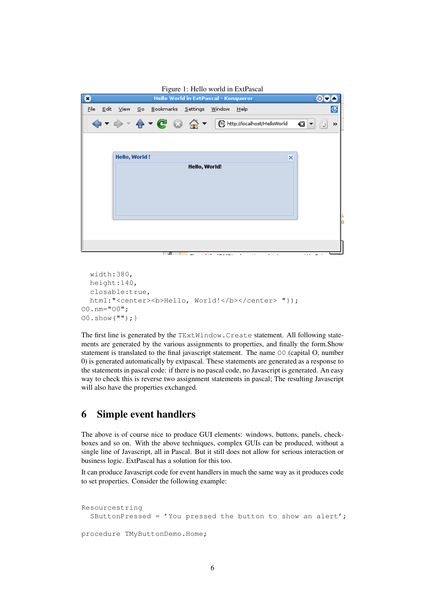<span id="page-5-0"></span>

```
width:380,
 height:140,
  closable:true,
  html:"<center><b>Hello, World!</b></center> "});
O0.nm="O0";
O0.show("");}
```
The first line is generated by the TExtWindow.Create statement. All following statements are generated by the various assignments to properties, and finally the form.Show statement is translated to the final javascript statement. The name O0 (capital O, number 0) is generated automatically by extpascal. These statements are generated as a response to the statements in pascal code: if there is no pascal code, no Javascript is generated. An easy way to check this is reverse two assignment statements in pascal; The resulting Javascript will also have the properties exchanged.

# 6 Simple event handlers

The above is of course nice to produce GUI elements: windows, buttons, panels, checkboxes and so on. With the above techniques, complex GUIs can be produced, without a single line of Javascript, all in Pascal. But it still does not allow for serious interaction or business logic. ExtPascal has a solution for this too.

It can produce Javascript code for event handlers in much the same way as it produces code to set properties. Consider the following example:

```
Resourcestring
  SButtonPressed = 'You pressed the button to show an alert';
procedure TMyButtonDemo.Home;
```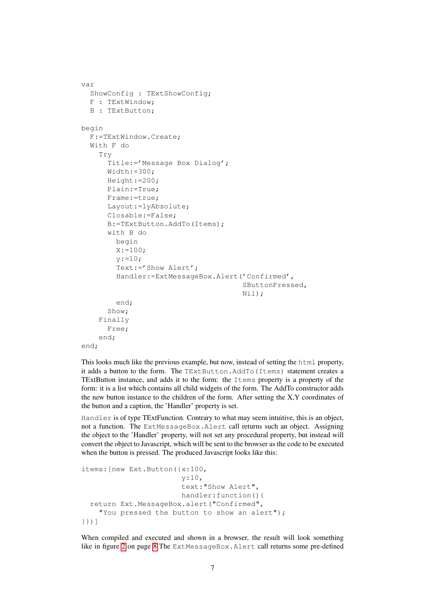```
var
  ShowConfig : TExtShowConfig;
  F : TExtWindow;
  B : TExtButton;
begin
  F:=TExtWindow.Create;
  With F do
    Try
      Title:='Message Box Dialog';
      Width:=300;
      Height:=200;
      Plain:=True;
      Frame:=true;
      Layout:=lyAbsolute;
      Closable:=False;
      B:=TExtButton.AddTo(Items);
      with B do
        begin
        X: = 100;
        y := 10;Text:='Show Alert';
        Handler:=ExtMessageBox.Alert('Confirmed',
                                       SButtonPressed,
                                       Nil);
        end;
      Show;
    Finally
      Free;
    end;
end;
```
This looks much like the previous example, but now, instead of setting the html property, it adds a button to the form. The TExtButton.AddTo(Items) statement creates a TExtButton instance, and adds it to the form: the Items property is a property of the form: it is a list which contains all child widgets of the form. The AddTo constructor adds the new button instance to the children of the form. After setting the X,Y coordinates of the button and a caption, the 'Handler' property is set.

Handler is of type TExtFunction. Contrary to what may seem intuitive, this is an object, not a function. The ExtMessageBox.Alert call returns such an object. Assigning the object to the 'Handler' property, will not set any procedural property, but instead will convert the object to Javascript, which will be sent to the browser as the code to be executed when the button is pressed. The produced Javascript looks like this:

```
items:[new Ext.Button({x:100,
                       y:10,
                       text:"Show Alert",
                       handler:function(){
  return Ext.MessageBox.alert("Confirmed",
    "You pressed the button to show an alert");
}})]
```
When compiled and executed and shown in a browser, the result will look something like in figure [2](#page-7-0) on page [8](#page-7-0) The ExtMessageBox. Alert call returns some pre-defined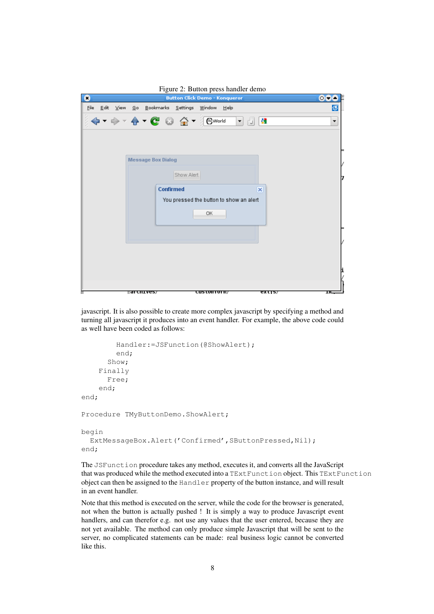<span id="page-7-0"></span>

| o              |                                                                                                                                                                                                                                                                                                                                                     |                           | <b>Button Click Demo - Konqueror</b>    |                |                         | 00e                      |
|----------------|-----------------------------------------------------------------------------------------------------------------------------------------------------------------------------------------------------------------------------------------------------------------------------------------------------------------------------------------------------|---------------------------|-----------------------------------------|----------------|-------------------------|--------------------------|
| $Eile$ $E$ dit | View <u>G</u> o Bookmarks Settings Window Help                                                                                                                                                                                                                                                                                                      |                           |                                         |                |                         | 弽                        |
|                | $\begin{picture}(160,10) \put(0,0){\line(1,0){10}} \put(15,0){\line(1,0){10}} \put(15,0){\line(1,0){10}} \put(15,0){\line(1,0){10}} \put(15,0){\line(1,0){10}} \put(15,0){\line(1,0){10}} \put(15,0){\line(1,0){10}} \put(15,0){\line(1,0){10}} \put(15,0){\line(1,0){10}} \put(15,0){\line(1,0){10}} \put(15,0){\line(1,0){10}} \put(15,0){\line($ |                           |                                         | $\blacksquare$ | 81                      | $\overline{\phantom{a}}$ |
|                |                                                                                                                                                                                                                                                                                                                                                     |                           |                                         |                |                         |                          |
|                |                                                                                                                                                                                                                                                                                                                                                     |                           |                                         |                |                         |                          |
|                |                                                                                                                                                                                                                                                                                                                                                     | <b>Message Box Dialog</b> |                                         |                |                         |                          |
|                |                                                                                                                                                                                                                                                                                                                                                     |                           | Show Alert                              |                |                         |                          |
|                |                                                                                                                                                                                                                                                                                                                                                     | <b>Confirmed</b>          |                                         |                | $\overline{\mathsf{x}}$ |                          |
|                |                                                                                                                                                                                                                                                                                                                                                     |                           | You pressed the button to show an alert |                |                         |                          |
|                |                                                                                                                                                                                                                                                                                                                                                     |                           | OK                                      |                |                         |                          |
|                |                                                                                                                                                                                                                                                                                                                                                     |                           |                                         |                |                         |                          |
|                |                                                                                                                                                                                                                                                                                                                                                     |                           |                                         |                |                         |                          |
|                |                                                                                                                                                                                                                                                                                                                                                     |                           |                                         |                |                         |                          |
|                |                                                                                                                                                                                                                                                                                                                                                     |                           |                                         |                |                         |                          |
|                |                                                                                                                                                                                                                                                                                                                                                     |                           |                                         |                |                         |                          |
|                | ∏वा दπ±ves7                                                                                                                                                                                                                                                                                                                                         |                           | <del>custom orm</del>                   |                | एरा पाउ                 | ᇳ                        |

javascript. It is also possible to create more complex javascript by specifying a method and turning all javascript it produces into an event handler. For example, the above code could as well have been coded as follows:

```
Handler:=JSFunction(@ShowAlert);
        end;
      Show;
    Finally
      Free;
    end;
end;
Procedure TMyButtonDemo.ShowAlert;
begin
  ExtMessageBox.Alert('Confirmed', SButtonPressed, Nil);
end;
```
The JSFunction procedure takes any method, executes it, and converts all the JavaScript that was produced while the method executed into a TExtFunction object. This TExtFunction object can then be assigned to the Handler property of the button instance, and will result in an event handler.

Note that this method is executed on the server, while the code for the browser is generated, not when the button is actually pushed ! It is simply a way to produce Javascript event handlers, and can therefor e.g. not use any values that the user entered, because they are not yet available. The method can only produce simple Javascript that will be sent to the server, no complicated statements can be made: real business logic cannot be converted like this.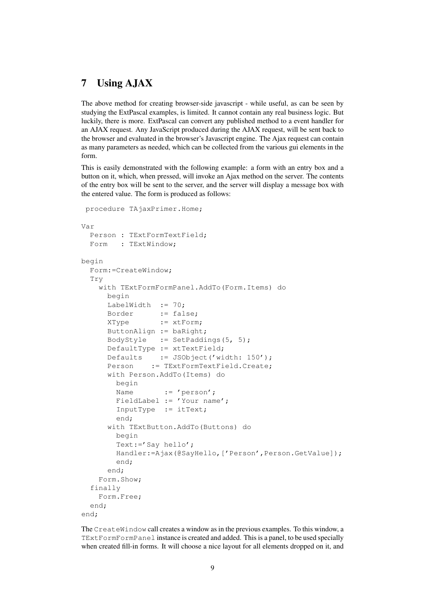# 7 Using AJAX

The above method for creating browser-side javascript - while useful, as can be seen by studying the ExtPascal examples, is limited. It cannot contain any real business logic. But luckily, there is more. ExtPascal can convert any published method to a event handler for an AJAX request. Any JavaScript produced during the AJAX request, will be sent back to the browser and evaluated in the browser's Javascript engine. The Ajax request can contain as many parameters as needed, which can be collected from the various gui elements in the form.

This is easily demonstrated with the following example: a form with an entry box and a button on it, which, when pressed, will invoke an Ajax method on the server. The contents of the entry box will be sent to the server, and the server will display a message box with the entered value. The form is produced as follows:

```
procedure TAjaxPrimer.Home;
Var
  Person : TExtFormTextField;
  Form : TExtWindow;
begin
  Form:=CreateWindow;
  Try
    with TExtFormFormPanel.AddTo(Form.Items) do
     begin
      LabelWidth := 70;
     Border := false;
      XType := xtForm;
      ButtonAlign := baRight;
      BodyStyle := SetPaddings(5, 5);
      DefaultType := xtTextField;
      Defaults := JSObject('width: 150');
      Person := TExtFormTextField.Create;
      with Person.AddTo(Items) do
       begin
       Name := 'person';
        FieldLabel := 'Your name';
        InputType := itText;
        end;
      with TExtButton.AddTo(Buttons) do
       begin
        Text:='Say hello';
        Handler:=Ajax(@SayHello,['Person',Person.GetValue]);
        end;
      end;
    Form.Show;
  finally
    Form.Free;
  end;
end;
```
The CreateWindow call creates a window as in the previous examples. To this window, a TExtFormFormPanel instance is created and added. This is a panel, to be used specially when created fill-in forms. It will choose a nice layout for all elements dropped on it, and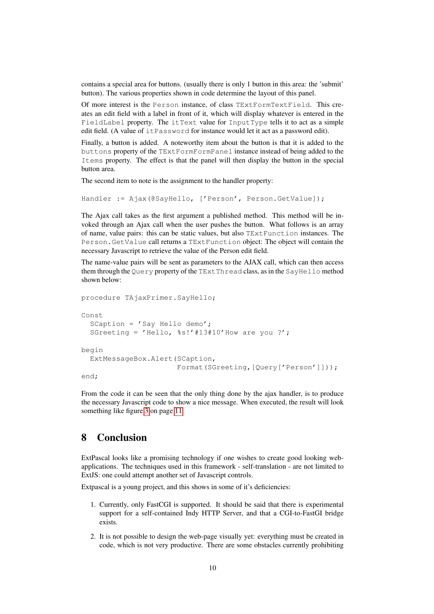contains a special area for buttons. (usually there is only 1 button in this area: the 'submit' button). The various properties shown in code determine the layout of this panel.

Of more interest is the Person instance, of class TExtFormTextField. This creates an edit field with a label in front of it, which will display whatever is entered in the FieldLabel property. The itText value for InputType tells it to act as a simple edit field. (A value of itPassword for instance would let it act as a password edit).

Finally, a button is added. A noteworthy item about the button is that it is added to the buttons property of the TExtFormFormPanel instance instead of being added to the Items property. The effect is that the panel will then display the button in the special button area.

The second item to note is the assignment to the handler property:

Handler := Ajax (@SayHello, ['Person', Person.GetValue]);

The Ajax call takes as the first argument a published method. This method will be invoked through an Ajax call when the user pushes the button. What follows is an array of name, value pairs: this can be static values, but also TExtFunction instances. The Person.GetValue call returns a TExtFunction object: The object will contain the necessary Javascript to retrieve the value of the Person edit field.

The name-value pairs will be sent as parameters to the AJAX call, which can then access them through the Query property of the TExtThread class, as in the SayHello method shown below:

```
procedure TAjaxPrimer.SayHello;
Const
  SCaption = 'sSay Hello demo';
  SGreeting = 'Hello, %s!'#13#10'How are you ?';
begin
  ExtMessageBox.Alert(SCaption,
                      Format(SGreeting,[Query['Person']]));
end;
```
From the code it can be seen that the only thing done by the ajax handler, is to produce the necessary Javascript code to show a nice message. When executed, the result will look something like figure [3](#page-10-0) on page [11.](#page-10-0)

# 8 Conclusion

ExtPascal looks like a promising technology if one wishes to create good looking webapplications. The techniques used in this framework - self-translation - are not limited to ExtJS: one could attempt another set of Javascript controls.

Extpascal is a young project, and this shows in some of it's deficiencies:

- 1. Currently, only FastCGI is supported. It should be said that there is experimental support for a self-contained Indy HTTP Server, and that a CGI-to-FastGI bridge exists.
- 2. It is not possible to design the web-page visually yet: everything must be created in code, which is not very productive. There are some obstacles currently prohibiting